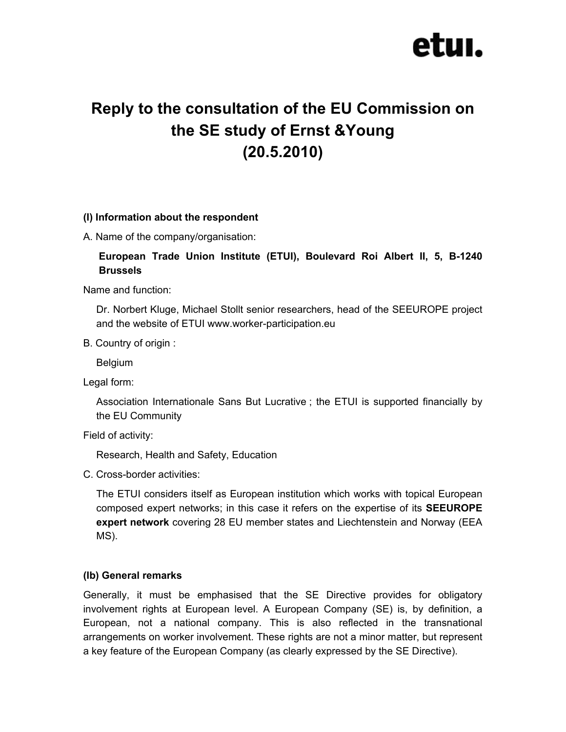# etuı.

# **Reply to the consultation of the EU Commission on the SE study of Ernst &Young (20.5.2010)**

#### **(I) Information about the respondent**

A. Name of the company/organisation:

# **European Trade Union Institute (ETUI), Boulevard Roi Albert II, 5, B-1240 Brussels**

Name and function:

Dr. Norbert Kluge, Michael Stollt senior researchers, head of the SEEUROPE project and the website of ETUI www.worker-participation.eu

B. Country of origin :

Belgium

Legal form:

Association Internationale Sans But Lucrative ; the ETUI is supported financially by the EU Community

Field of activity:

Research, Health and Safety, Education

C. Cross-border activities:

The ETUI considers itself as European institution which works with topical European composed expert networks; in this case it refers on the expertise of its **SEEUROPE expert network** covering 28 EU member states and Liechtenstein and Norway (EEA MS).

#### **(Ib) General remarks**

Generally, it must be emphasised that the SE Directive provides for obligatory involvement rights at European level. A European Company (SE) is, by definition, a European, not a national company. This is also reflected in the transnational arrangements on worker involvement. These rights are not a minor matter, but represent a key feature of the European Company (as clearly expressed by the SE Directive).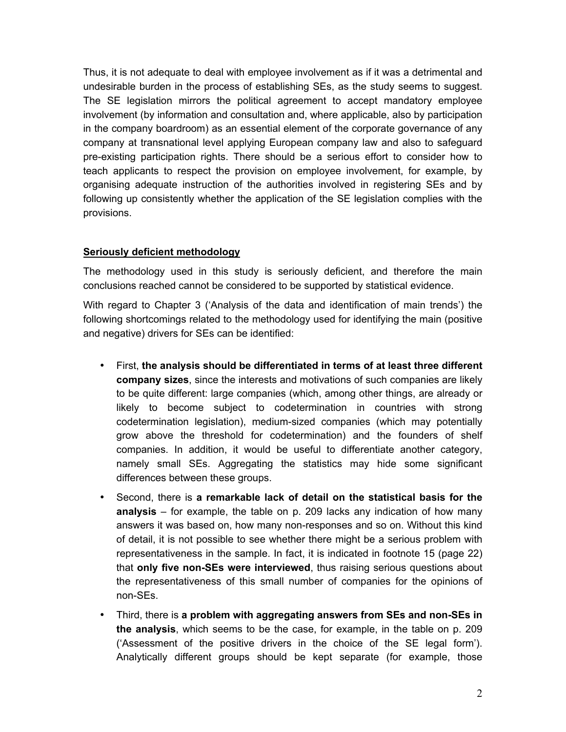Thus, it is not adequate to deal with employee involvement as if it was a detrimental and undesirable burden in the process of establishing SEs, as the study seems to suggest. The SE legislation mirrors the political agreement to accept mandatory employee involvement (by information and consultation and, where applicable, also by participation in the company boardroom) as an essential element of the corporate governance of any company at transnational level applying European company law and also to safeguard pre-existing participation rights. There should be a serious effort to consider how to teach applicants to respect the provision on employee involvement, for example, by organising adequate instruction of the authorities involved in registering SEs and by following up consistently whether the application of the SE legislation complies with the provisions.

#### **Seriously deficient methodology**

The methodology used in this study is seriously deficient, and therefore the main conclusions reached cannot be considered to be supported by statistical evidence.

With regard to Chapter 3 ('Analysis of the data and identification of main trends') the following shortcomings related to the methodology used for identifying the main (positive and negative) drivers for SEs can be identified:

- First, **the analysis should be differentiated in terms of at least three different company sizes**, since the interests and motivations of such companies are likely to be quite different: large companies (which, among other things, are already or likely to become subject to codetermination in countries with strong codetermination legislation), medium-sized companies (which may potentially grow above the threshold for codetermination) and the founders of shelf companies. In addition, it would be useful to differentiate another category, namely small SEs. Aggregating the statistics may hide some significant differences between these groups.
- Second, there is **a remarkable lack of detail on the statistical basis for the analysis** – for example, the table on p. 209 lacks any indication of how many answers it was based on, how many non-responses and so on. Without this kind of detail, it is not possible to see whether there might be a serious problem with representativeness in the sample. In fact, it is indicated in footnote 15 (page 22) that **only five non-SEs were interviewed**, thus raising serious questions about the representativeness of this small number of companies for the opinions of non-SEs.
- Third, there is **a problem with aggregating answers from SEs and non-SEs in the analysis**, which seems to be the case, for example, in the table on p. 209 ('Assessment of the positive drivers in the choice of the SE legal form'). Analytically different groups should be kept separate (for example, those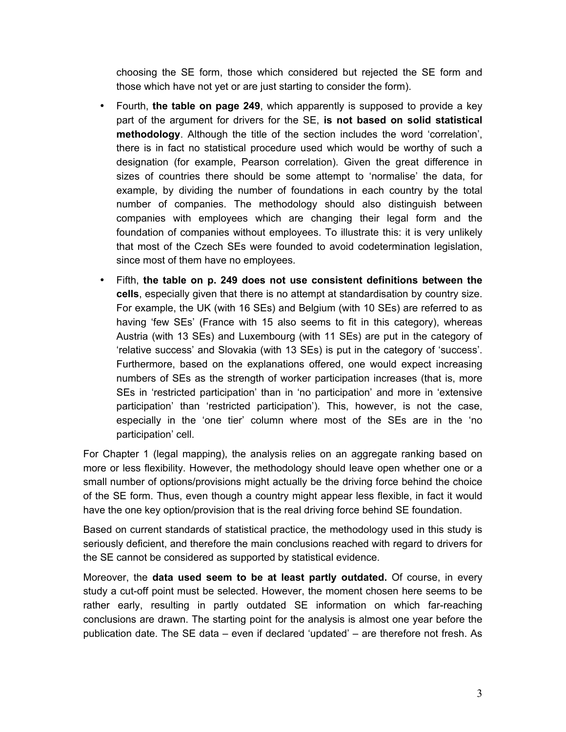choosing the SE form, those which considered but rejected the SE form and those which have not yet or are just starting to consider the form).

- Fourth, **the table on page 249**, which apparently is supposed to provide a key part of the argument for drivers for the SE, **is not based on solid statistical methodology**. Although the title of the section includes the word 'correlation', there is in fact no statistical procedure used which would be worthy of such a designation (for example, Pearson correlation). Given the great difference in sizes of countries there should be some attempt to 'normalise' the data, for example, by dividing the number of foundations in each country by the total number of companies. The methodology should also distinguish between companies with employees which are changing their legal form and the foundation of companies without employees. To illustrate this: it is very unlikely that most of the Czech SEs were founded to avoid codetermination legislation, since most of them have no employees.
- Fifth, **the table on p. 249 does not use consistent definitions between the cells**, especially given that there is no attempt at standardisation by country size. For example, the UK (with 16 SEs) and Belgium (with 10 SEs) are referred to as having 'few SEs' (France with 15 also seems to fit in this category), whereas Austria (with 13 SEs) and Luxembourg (with 11 SEs) are put in the category of 'relative success' and Slovakia (with 13 SEs) is put in the category of 'success'. Furthermore, based on the explanations offered, one would expect increasing numbers of SEs as the strength of worker participation increases (that is, more SEs in 'restricted participation' than in 'no participation' and more in 'extensive participation' than 'restricted participation'). This, however, is not the case, especially in the 'one tier' column where most of the SEs are in the 'no participation' cell.

For Chapter 1 (legal mapping), the analysis relies on an aggregate ranking based on more or less flexibility. However, the methodology should leave open whether one or a small number of options/provisions might actually be the driving force behind the choice of the SE form. Thus, even though a country might appear less flexible, in fact it would have the one key option/provision that is the real driving force behind SE foundation.

Based on current standards of statistical practice, the methodology used in this study is seriously deficient, and therefore the main conclusions reached with regard to drivers for the SE cannot be considered as supported by statistical evidence.

Moreover, the **data used seem to be at least partly outdated.** Of course, in every study a cut-off point must be selected. However, the moment chosen here seems to be rather early, resulting in partly outdated SE information on which far-reaching conclusions are drawn. The starting point for the analysis is almost one year before the publication date. The SE data – even if declared 'updated' – are therefore not fresh. As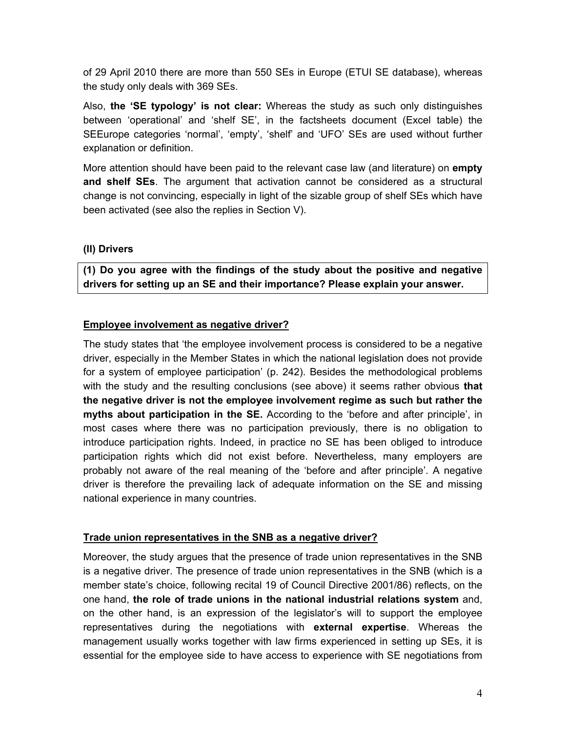of 29 April 2010 there are more than 550 SEs in Europe (ETUI SE database), whereas the study only deals with 369 SEs.

Also, **the 'SE typology' is not clear:** Whereas the study as such only distinguishes between 'operational' and 'shelf SE', in the factsheets document (Excel table) the SEEurope categories 'normal', 'empty', 'shelf' and 'UFO' SEs are used without further explanation or definition.

More attention should have been paid to the relevant case law (and literature) on **empty and shelf SEs**. The argument that activation cannot be considered as a structural change is not convincing, especially in light of the sizable group of shelf SEs which have been activated (see also the replies in Section V).

#### **(II) Drivers**

**(1) Do you agree with the findings of the study about the positive and negative drivers for setting up an SE and their importance? Please explain your answer.** 

# **Employee involvement as negative driver?**

The study states that 'the employee involvement process is considered to be a negative driver, especially in the Member States in which the national legislation does not provide for a system of employee participation' (p. 242). Besides the methodological problems with the study and the resulting conclusions (see above) it seems rather obvious **that the negative driver is not the employee involvement regime as such but rather the myths about participation in the SE.** According to the 'before and after principle', in most cases where there was no participation previously, there is no obligation to introduce participation rights. Indeed, in practice no SE has been obliged to introduce participation rights which did not exist before. Nevertheless, many employers are probably not aware of the real meaning of the 'before and after principle'. A negative driver is therefore the prevailing lack of adequate information on the SE and missing national experience in many countries.

# **Trade union representatives in the SNB as a negative driver?**

Moreover, the study argues that the presence of trade union representatives in the SNB is a negative driver. The presence of trade union representatives in the SNB (which is a member state's choice, following recital 19 of Council Directive 2001/86) reflects, on the one hand, **the role of trade unions in the national industrial relations system** and, on the other hand, is an expression of the legislator's will to support the employee representatives during the negotiations with **external expertise**. Whereas the management usually works together with law firms experienced in setting up SEs, it is essential for the employee side to have access to experience with SE negotiations from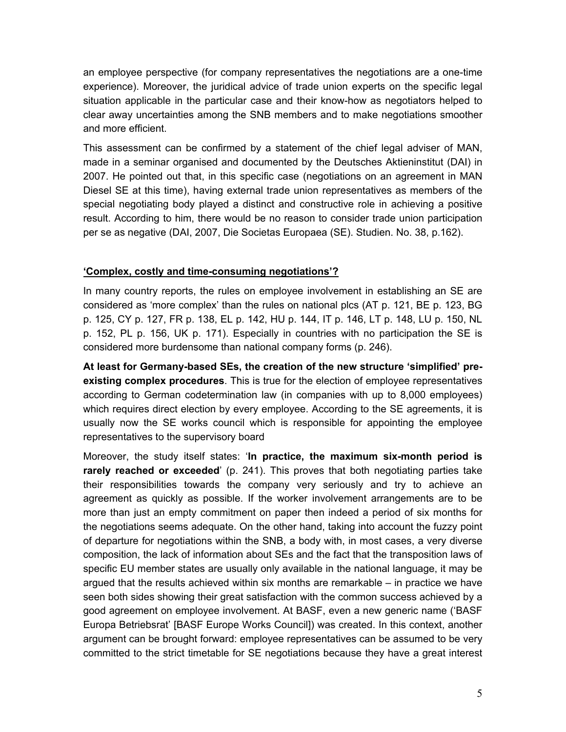an employee perspective (for company representatives the negotiations are a one-time experience). Moreover, the juridical advice of trade union experts on the specific legal situation applicable in the particular case and their know-how as negotiators helped to clear away uncertainties among the SNB members and to make negotiations smoother and more efficient.

This assessment can be confirmed by a statement of the chief legal adviser of MAN, made in a seminar organised and documented by the Deutsches Aktieninstitut (DAI) in 2007. He pointed out that, in this specific case (negotiations on an agreement in MAN Diesel SE at this time), having external trade union representatives as members of the special negotiating body played a distinct and constructive role in achieving a positive result. According to him, there would be no reason to consider trade union participation per se as negative (DAI, 2007, Die Societas Europaea (SE). Studien. No. 38, p.162).

#### **'Complex, costly and time-consuming negotiations'?**

In many country reports, the rules on employee involvement in establishing an SE are considered as 'more complex' than the rules on national plcs (AT p. 121, BE p. 123, BG p. 125, CY p. 127, FR p. 138, EL p. 142, HU p. 144, IT p. 146, LT p. 148, LU p. 150, NL p. 152, PL p. 156, UK p. 171). Especially in countries with no participation the SE is considered more burdensome than national company forms (p. 246).

**At least for Germany-based SEs, the creation of the new structure 'simplified' preexisting complex procedures**. This is true for the election of employee representatives according to German codetermination law (in companies with up to 8,000 employees) which requires direct election by every employee. According to the SE agreements, it is usually now the SE works council which is responsible for appointing the employee representatives to the supervisory board

Moreover, the study itself states: '**In practice, the maximum six-month period is rarely reached or exceeded**' (p. 241). This proves that both negotiating parties take their responsibilities towards the company very seriously and try to achieve an agreement as quickly as possible. If the worker involvement arrangements are to be more than just an empty commitment on paper then indeed a period of six months for the negotiations seems adequate. On the other hand, taking into account the fuzzy point of departure for negotiations within the SNB, a body with, in most cases, a very diverse composition, the lack of information about SEs and the fact that the transposition laws of specific EU member states are usually only available in the national language, it may be argued that the results achieved within six months are remarkable – in practice we have seen both sides showing their great satisfaction with the common success achieved by a good agreement on employee involvement. At BASF, even a new generic name ('BASF Europa Betriebsrat' [BASF Europe Works Council]) was created. In this context, another argument can be brought forward: employee representatives can be assumed to be very committed to the strict timetable for SE negotiations because they have a great interest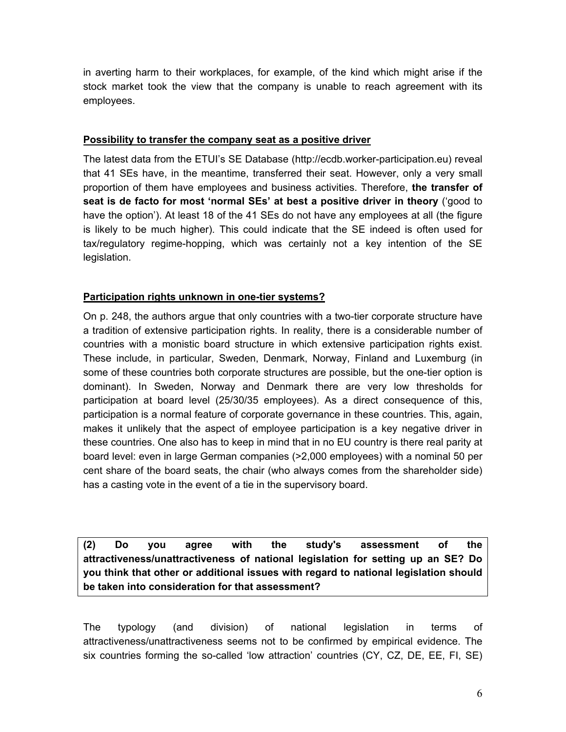in averting harm to their workplaces, for example, of the kind which might arise if the stock market took the view that the company is unable to reach agreement with its employees.

#### **Possibility to transfer the company seat as a positive driver**

The latest data from the ETUI's SE Database (http://ecdb.worker-participation.eu) reveal that 41 SEs have, in the meantime, transferred their seat. However, only a very small proportion of them have employees and business activities. Therefore, **the transfer of seat is de facto for most 'normal SEs' at best a positive driver in theory** ('good to have the option'). At least 18 of the 41 SEs do not have any employees at all (the figure is likely to be much higher). This could indicate that the SE indeed is often used for tax/regulatory regime-hopping, which was certainly not a key intention of the SE legislation.

#### **Participation rights unknown in one-tier systems?**

On p. 248, the authors argue that only countries with a two-tier corporate structure have a tradition of extensive participation rights. In reality, there is a considerable number of countries with a monistic board structure in which extensive participation rights exist. These include, in particular, Sweden, Denmark, Norway, Finland and Luxemburg (in some of these countries both corporate structures are possible, but the one-tier option is dominant). In Sweden, Norway and Denmark there are very low thresholds for participation at board level (25/30/35 employees). As a direct consequence of this, participation is a normal feature of corporate governance in these countries. This, again, makes it unlikely that the aspect of employee participation is a key negative driver in these countries. One also has to keep in mind that in no EU country is there real parity at board level: even in large German companies (>2,000 employees) with a nominal 50 per cent share of the board seats, the chair (who always comes from the shareholder side) has a casting vote in the event of a tie in the supervisory board.

**(2) Do you agree with the study's assessment of the attractiveness/unattractiveness of national legislation for setting up an SE? Do you think that other or additional issues with regard to national legislation should be taken into consideration for that assessment?** 

The typology (and division) of national legislation in terms of attractiveness/unattractiveness seems not to be confirmed by empirical evidence. The six countries forming the so-called 'low attraction' countries (CY, CZ, DE, EE, FI, SE)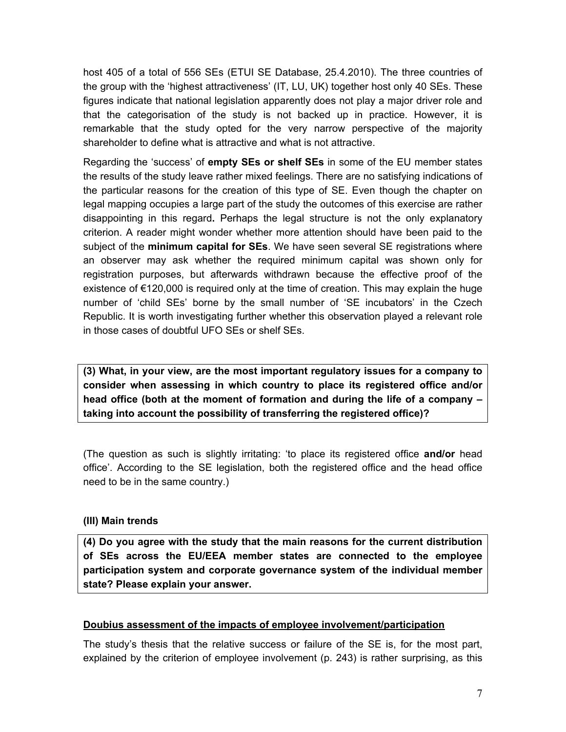host 405 of a total of 556 SEs (ETUI SE Database, 25.4.2010). The three countries of the group with the 'highest attractiveness' (IT, LU, UK) together host only 40 SEs. These figures indicate that national legislation apparently does not play a major driver role and that the categorisation of the study is not backed up in practice. However, it is remarkable that the study opted for the very narrow perspective of the majority shareholder to define what is attractive and what is not attractive.

Regarding the 'success' of **empty SEs or shelf SEs** in some of the EU member states the results of the study leave rather mixed feelings. There are no satisfying indications of the particular reasons for the creation of this type of SE. Even though the chapter on legal mapping occupies a large part of the study the outcomes of this exercise are rather disappointing in this regard**.** Perhaps the legal structure is not the only explanatory criterion. A reader might wonder whether more attention should have been paid to the subject of the **minimum capital for SEs**. We have seen several SE registrations where an observer may ask whether the required minimum capital was shown only for registration purposes, but afterwards withdrawn because the effective proof of the existence of €120,000 is required only at the time of creation. This may explain the huge number of 'child SEs' borne by the small number of 'SE incubators' in the Czech Republic. It is worth investigating further whether this observation played a relevant role in those cases of doubtful UFO SEs or shelf SEs.

**(3) What, in your view, are the most important regulatory issues for a company to consider when assessing in which country to place its registered office and/or head office (both at the moment of formation and during the life of a company – taking into account the possibility of transferring the registered office)?**

(The question as such is slightly irritating: 'to place its registered office **and/or** head office'. According to the SE legislation, both the registered office and the head office need to be in the same country.)

# **(III) Main trends**

**(4) Do you agree with the study that the main reasons for the current distribution of SEs across the EU/EEA member states are connected to the employee participation system and corporate governance system of the individual member state? Please explain your answer.** 

# **Doubius assessment of the impacts of employee involvement/participation**

The study's thesis that the relative success or failure of the SE is, for the most part, explained by the criterion of employee involvement (p. 243) is rather surprising, as this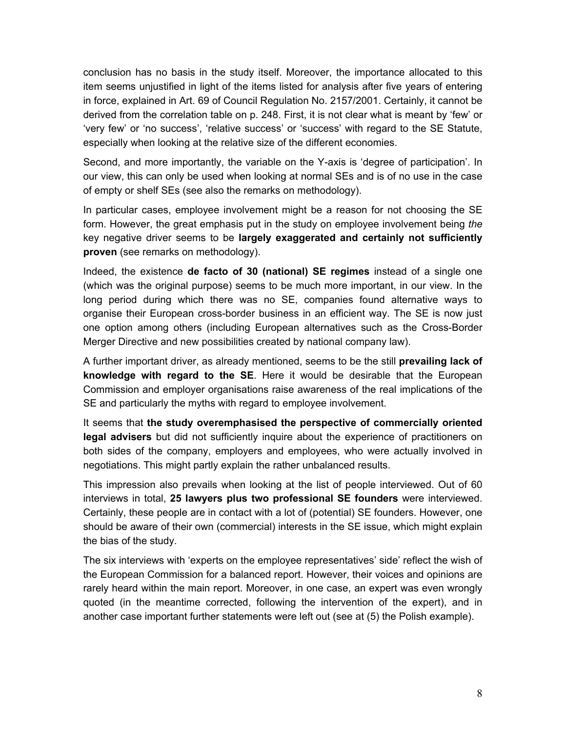conclusion has no basis in the study itself. Moreover, the importance allocated to this item seems unjustified in light of the items listed for analysis after five years of entering in force, explained in Art. 69 of Council Regulation No. 2157/2001. Certainly, it cannot be derived from the correlation table on p. 248. First, it is not clear what is meant by 'few' or 'very few' or 'no success', 'relative success' or 'success' with regard to the SE Statute, especially when looking at the relative size of the different economies.

Second, and more importantly, the variable on the Y-axis is 'degree of participation'. In our view, this can only be used when looking at normal SEs and is of no use in the case of empty or shelf SEs (see also the remarks on methodology).

In particular cases, employee involvement might be a reason for not choosing the SE form. However, the great emphasis put in the study on employee involvement being *the* key negative driver seems to be **largely exaggerated and certainly not sufficiently proven** (see remarks on methodology).

Indeed, the existence **de facto of 30 (national) SE regimes** instead of a single one (which was the original purpose) seems to be much more important, in our view. In the long period during which there was no SE, companies found alternative ways to organise their European cross-border business in an efficient way. The SE is now just one option among others (including European alternatives such as the Cross-Border Merger Directive and new possibilities created by national company law).

A further important driver, as already mentioned, seems to be the still **prevailing lack of knowledge with regard to the SE**. Here it would be desirable that the European Commission and employer organisations raise awareness of the real implications of the SE and particularly the myths with regard to employee involvement.

It seems that **the study overemphasised the perspective of commercially oriented legal advisers** but did not sufficiently inquire about the experience of practitioners on both sides of the company, employers and employees, who were actually involved in negotiations. This might partly explain the rather unbalanced results.

This impression also prevails when looking at the list of people interviewed. Out of 60 interviews in total, **25 lawyers plus two professional SE founders** were interviewed. Certainly, these people are in contact with a lot of (potential) SE founders. However, one should be aware of their own (commercial) interests in the SE issue, which might explain the bias of the study.

The six interviews with 'experts on the employee representatives' side' reflect the wish of the European Commission for a balanced report. However, their voices and opinions are rarely heard within the main report. Moreover, in one case, an expert was even wrongly quoted (in the meantime corrected, following the intervention of the expert), and in another case important further statements were left out (see at (5) the Polish example).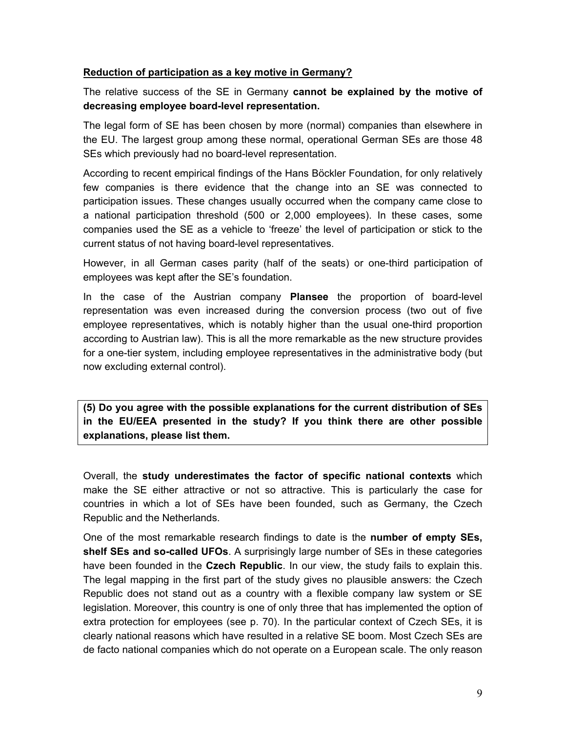#### **Reduction of participation as a key motive in Germany?**

The relative success of the SE in Germany **cannot be explained by the motive of decreasing employee board-level representation.**

The legal form of SE has been chosen by more (normal) companies than elsewhere in the EU. The largest group among these normal, operational German SEs are those 48 SEs which previously had no board-level representation.

According to recent empirical findings of the Hans Böckler Foundation, for only relatively few companies is there evidence that the change into an SE was connected to participation issues. These changes usually occurred when the company came close to a national participation threshold (500 or 2,000 employees). In these cases, some companies used the SE as a vehicle to 'freeze' the level of participation or stick to the current status of not having board-level representatives.

However, in all German cases parity (half of the seats) or one-third participation of employees was kept after the SE's foundation.

In the case of the Austrian company **Plansee** the proportion of board-level representation was even increased during the conversion process (two out of five employee representatives, which is notably higher than the usual one-third proportion according to Austrian law). This is all the more remarkable as the new structure provides for a one-tier system, including employee representatives in the administrative body (but now excluding external control).

**(5) Do you agree with the possible explanations for the current distribution of SEs in the EU/EEA presented in the study? If you think there are other possible explanations, please list them.**

Overall, the **study underestimates the factor of specific national contexts** which make the SE either attractive or not so attractive. This is particularly the case for countries in which a lot of SEs have been founded, such as Germany, the Czech Republic and the Netherlands.

One of the most remarkable research findings to date is the **number of empty SEs, shelf SEs and so-called UFOs**. A surprisingly large number of SEs in these categories have been founded in the **Czech Republic**. In our view, the study fails to explain this. The legal mapping in the first part of the study gives no plausible answers: the Czech Republic does not stand out as a country with a flexible company law system or SE legislation. Moreover, this country is one of only three that has implemented the option of extra protection for employees (see p. 70). In the particular context of Czech SEs, it is clearly national reasons which have resulted in a relative SE boom. Most Czech SEs are de facto national companies which do not operate on a European scale. The only reason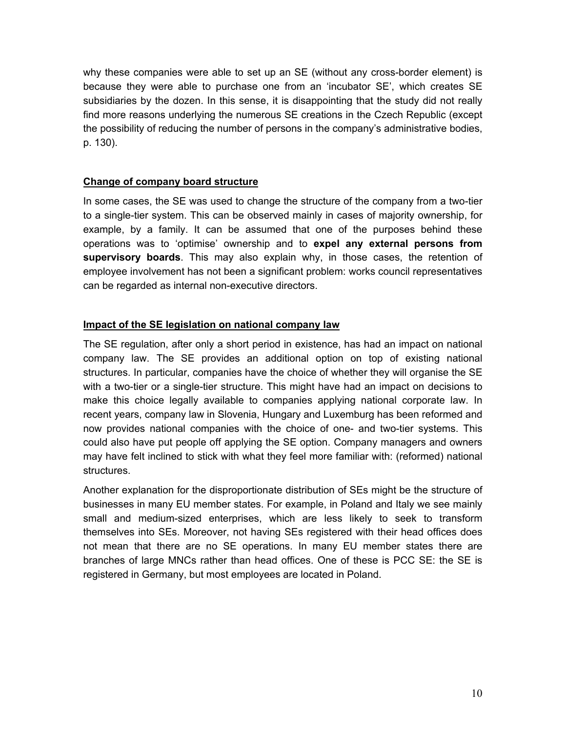why these companies were able to set up an SE (without any cross-border element) is because they were able to purchase one from an 'incubator SE', which creates SE subsidiaries by the dozen. In this sense, it is disappointing that the study did not really find more reasons underlying the numerous SE creations in the Czech Republic (except the possibility of reducing the number of persons in the company's administrative bodies, p. 130).

## **Change of company board structure**

In some cases, the SE was used to change the structure of the company from a two-tier to a single-tier system. This can be observed mainly in cases of majority ownership, for example, by a family. It can be assumed that one of the purposes behind these operations was to 'optimise' ownership and to **expel any external persons from supervisory boards**. This may also explain why, in those cases, the retention of employee involvement has not been a significant problem: works council representatives can be regarded as internal non-executive directors.

#### **Impact of the SE legislation on national company law**

The SE regulation, after only a short period in existence, has had an impact on national company law. The SE provides an additional option on top of existing national structures. In particular, companies have the choice of whether they will organise the SE with a two-tier or a single-tier structure. This might have had an impact on decisions to make this choice legally available to companies applying national corporate law. In recent years, company law in Slovenia, Hungary and Luxemburg has been reformed and now provides national companies with the choice of one- and two-tier systems. This could also have put people off applying the SE option. Company managers and owners may have felt inclined to stick with what they feel more familiar with: (reformed) national structures.

Another explanation for the disproportionate distribution of SEs might be the structure of businesses in many EU member states. For example, in Poland and Italy we see mainly small and medium-sized enterprises, which are less likely to seek to transform themselves into SEs. Moreover, not having SEs registered with their head offices does not mean that there are no SE operations. In many EU member states there are branches of large MNCs rather than head offices. One of these is PCC SE: the SE is registered in Germany, but most employees are located in Poland.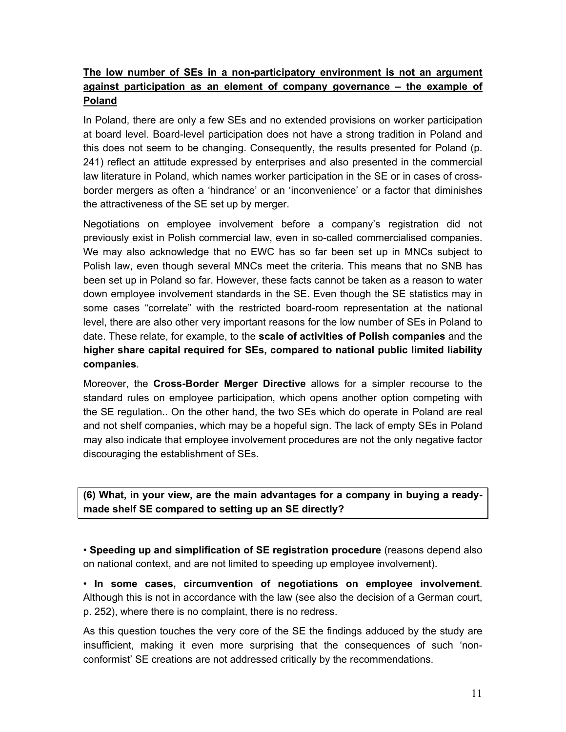# **The low number of SEs in a non-participatory environment is not an argument against participation as an element of company governance – the example of Poland**

In Poland, there are only a few SEs and no extended provisions on worker participation at board level. Board-level participation does not have a strong tradition in Poland and this does not seem to be changing. Consequently, the results presented for Poland (p. 241) reflect an attitude expressed by enterprises and also presented in the commercial law literature in Poland, which names worker participation in the SE or in cases of crossborder mergers as often a 'hindrance' or an 'inconvenience' or a factor that diminishes the attractiveness of the SE set up by merger.

Negotiations on employee involvement before a company's registration did not previously exist in Polish commercial law, even in so-called commercialised companies. We may also acknowledge that no EWC has so far been set up in MNCs subject to Polish law, even though several MNCs meet the criteria. This means that no SNB has been set up in Poland so far. However, these facts cannot be taken as a reason to water down employee involvement standards in the SE. Even though the SE statistics may in some cases "correlate" with the restricted board-room representation at the national level, there are also other very important reasons for the low number of SEs in Poland to date. These relate, for example, to the **scale of activities of Polish companies** and the **higher share capital required for SEs, compared to national public limited liability companies**.

Moreover, the **Cross-Border Merger Directive** allows for a simpler recourse to the standard rules on employee participation, which opens another option competing with the SE regulation.. On the other hand, the two SEs which do operate in Poland are real and not shelf companies, which may be a hopeful sign. The lack of empty SEs in Poland may also indicate that employee involvement procedures are not the only negative factor discouraging the establishment of SEs.

**(6) What, in your view, are the main advantages for a company in buying a readymade shelf SE compared to setting up an SE directly?** 

• **Speeding up and simplification of SE registration procedure** (reasons depend also on national context, and are not limited to speeding up employee involvement).

• **In some cases, circumvention of negotiations on employee involvement**. Although this is not in accordance with the law (see also the decision of a German court, p. 252), where there is no complaint, there is no redress.

As this question touches the very core of the SE the findings adduced by the study are insufficient, making it even more surprising that the consequences of such 'nonconformist' SE creations are not addressed critically by the recommendations.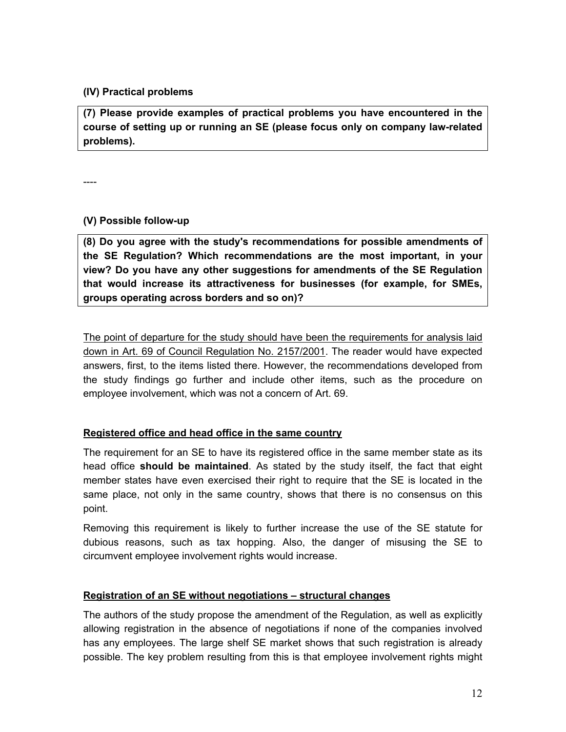# **(IV) Practical problems**

**(7) Please provide examples of practical problems you have encountered in the course of setting up or running an SE (please focus only on company law-related problems).**

----

#### **(V) Possible follow-up**

**(8) Do you agree with the study's recommendations for possible amendments of the SE Regulation? Which recommendations are the most important, in your view? Do you have any other suggestions for amendments of the SE Regulation that would increase its attractiveness for businesses (for example, for SMEs, groups operating across borders and so on)?**

The point of departure for the study should have been the requirements for analysis laid down in Art. 69 of Council Regulation No. 2157/2001. The reader would have expected answers, first, to the items listed there. However, the recommendations developed from the study findings go further and include other items, such as the procedure on employee involvement, which was not a concern of Art. 69.

# **Registered office and head office in the same country**

The requirement for an SE to have its registered office in the same member state as its head office **should be maintained**. As stated by the study itself, the fact that eight member states have even exercised their right to require that the SE is located in the same place, not only in the same country, shows that there is no consensus on this point.

Removing this requirement is likely to further increase the use of the SE statute for dubious reasons, such as tax hopping. Also, the danger of misusing the SE to circumvent employee involvement rights would increase.

#### **Registration of an SE without negotiations – structural changes**

The authors of the study propose the amendment of the Regulation, as well as explicitly allowing registration in the absence of negotiations if none of the companies involved has any employees. The large shelf SE market shows that such registration is already possible. The key problem resulting from this is that employee involvement rights might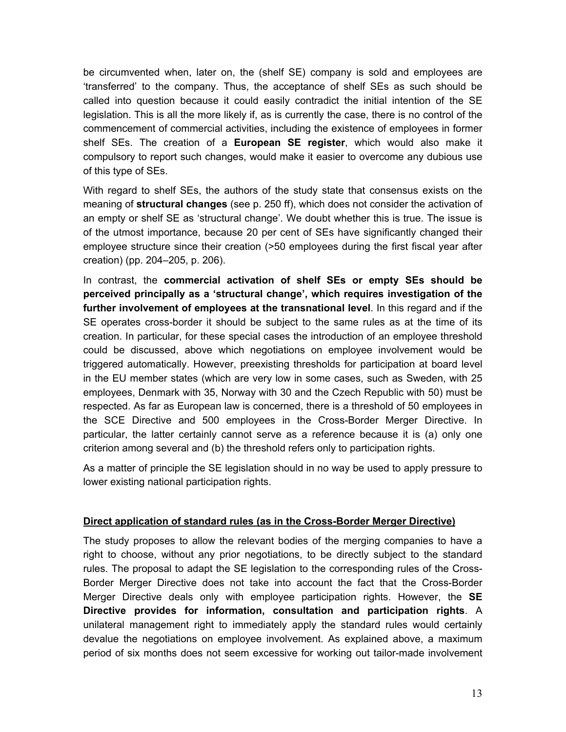be circumvented when, later on, the (shelf SE) company is sold and employees are 'transferred' to the company. Thus, the acceptance of shelf SEs as such should be called into question because it could easily contradict the initial intention of the SE legislation. This is all the more likely if, as is currently the case, there is no control of the commencement of commercial activities, including the existence of employees in former shelf SEs. The creation of a **European SE register**, which would also make it compulsory to report such changes, would make it easier to overcome any dubious use of this type of SEs.

With regard to shelf SEs, the authors of the study state that consensus exists on the meaning of **structural changes** (see p. 250 ff), which does not consider the activation of an empty or shelf SE as 'structural change'. We doubt whether this is true. The issue is of the utmost importance, because 20 per cent of SEs have significantly changed their employee structure since their creation (>50 employees during the first fiscal year after creation) (pp. 204–205, p. 206).

In contrast, the **commercial activation of shelf SEs or empty SEs should be perceived principally as a 'structural change', which requires investigation of the further involvement of employees at the transnational level**. In this regard and if the SE operates cross-border it should be subject to the same rules as at the time of its creation. In particular, for these special cases the introduction of an employee threshold could be discussed, above which negotiations on employee involvement would be triggered automatically. However, preexisting thresholds for participation at board level in the EU member states (which are very low in some cases, such as Sweden, with 25 employees, Denmark with 35, Norway with 30 and the Czech Republic with 50) must be respected. As far as European law is concerned, there is a threshold of 50 employees in the SCE Directive and 500 employees in the Cross-Border Merger Directive. In particular, the latter certainly cannot serve as a reference because it is (a) only one criterion among several and (b) the threshold refers only to participation rights.

As a matter of principle the SE legislation should in no way be used to apply pressure to lower existing national participation rights.

# **Direct application of standard rules (as in the Cross-Border Merger Directive)**

The study proposes to allow the relevant bodies of the merging companies to have a right to choose, without any prior negotiations, to be directly subject to the standard rules. The proposal to adapt the SE legislation to the corresponding rules of the Cross-Border Merger Directive does not take into account the fact that the Cross-Border Merger Directive deals only with employee participation rights. However, the **SE Directive provides for information, consultation and participation rights**. A unilateral management right to immediately apply the standard rules would certainly devalue the negotiations on employee involvement. As explained above, a maximum period of six months does not seem excessive for working out tailor-made involvement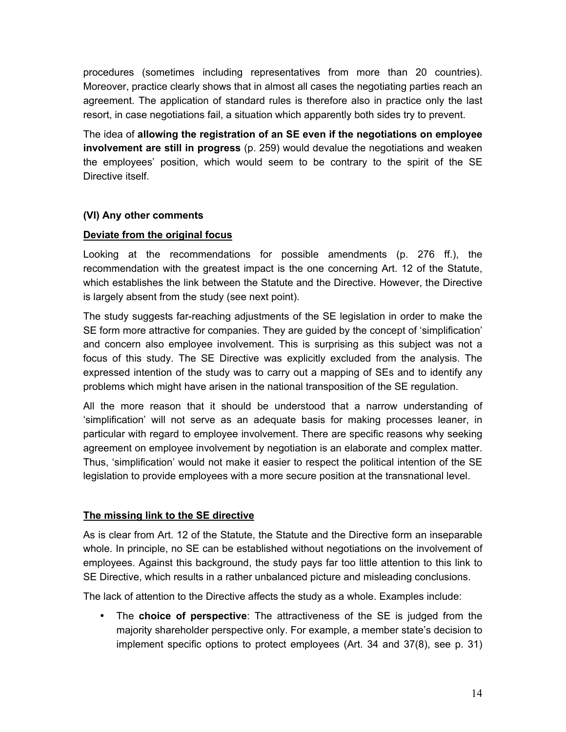procedures (sometimes including representatives from more than 20 countries). Moreover, practice clearly shows that in almost all cases the negotiating parties reach an agreement. The application of standard rules is therefore also in practice only the last resort, in case negotiations fail, a situation which apparently both sides try to prevent.

The idea of **allowing the registration of an SE even if the negotiations on employee involvement are still in progress** (p. 259) would devalue the negotiations and weaken the employees' position, which would seem to be contrary to the spirit of the SE Directive itself.

# **(VI) Any other comments**

#### **Deviate from the original focus**

Looking at the recommendations for possible amendments (p. 276 ff.), the recommendation with the greatest impact is the one concerning Art. 12 of the Statute, which establishes the link between the Statute and the Directive. However, the Directive is largely absent from the study (see next point).

The study suggests far-reaching adjustments of the SE legislation in order to make the SE form more attractive for companies. They are guided by the concept of 'simplification' and concern also employee involvement. This is surprising as this subject was not a focus of this study. The SE Directive was explicitly excluded from the analysis. The expressed intention of the study was to carry out a mapping of SEs and to identify any problems which might have arisen in the national transposition of the SE regulation.

All the more reason that it should be understood that a narrow understanding of 'simplification' will not serve as an adequate basis for making processes leaner, in particular with regard to employee involvement. There are specific reasons why seeking agreement on employee involvement by negotiation is an elaborate and complex matter. Thus, 'simplification' would not make it easier to respect the political intention of the SE legislation to provide employees with a more secure position at the transnational level.

# **The missing link to the SE directive**

As is clear from Art. 12 of the Statute, the Statute and the Directive form an inseparable whole. In principle, no SE can be established without negotiations on the involvement of employees. Against this background, the study pays far too little attention to this link to SE Directive, which results in a rather unbalanced picture and misleading conclusions.

The lack of attention to the Directive affects the study as a whole. Examples include:

• The **choice of perspective**: The attractiveness of the SE is judged from the majority shareholder perspective only. For example, a member state's decision to implement specific options to protect employees (Art. 34 and 37(8), see p. 31)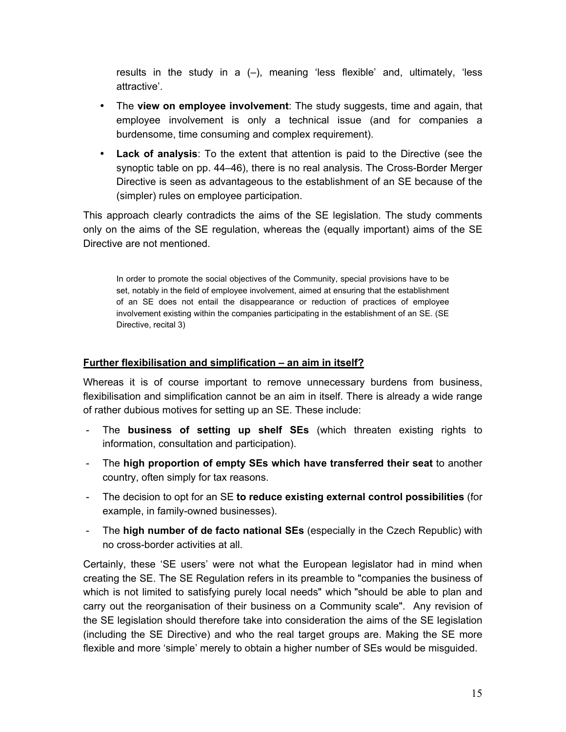results in the study in a (–), meaning 'less flexible' and, ultimately, 'less attractive'.

- The **view on employee involvement**: The study suggests, time and again, that employee involvement is only a technical issue (and for companies a burdensome, time consuming and complex requirement).
- **Lack of analysis**: To the extent that attention is paid to the Directive (see the synoptic table on pp. 44–46), there is no real analysis. The Cross-Border Merger Directive is seen as advantageous to the establishment of an SE because of the (simpler) rules on employee participation.

This approach clearly contradicts the aims of the SE legislation. The study comments only on the aims of the SE regulation, whereas the (equally important) aims of the SE Directive are not mentioned.

In order to promote the social objectives of the Community, special provisions have to be set, notably in the field of employee involvement, aimed at ensuring that the establishment of an SE does not entail the disappearance or reduction of practices of employee involvement existing within the companies participating in the establishment of an SE. (SE Directive, recital 3)

## **Further flexibilisation and simplification – an aim in itself?**

Whereas it is of course important to remove unnecessary burdens from business, flexibilisation and simplification cannot be an aim in itself. There is already a wide range of rather dubious motives for setting up an SE. These include:

- The **business of setting up shelf SEs** (which threaten existing rights to information, consultation and participation).
- The **high proportion of empty SEs which have transferred their seat** to another country, often simply for tax reasons.
- The decision to opt for an SE **to reduce existing external control possibilities** (for example, in family-owned businesses).
- The **high number of de facto national SEs** (especially in the Czech Republic) with no cross-border activities at all.

Certainly, these 'SE users' were not what the European legislator had in mind when creating the SE. The SE Regulation refers in its preamble to "companies the business of which is not limited to satisfying purely local needs" which "should be able to plan and carry out the reorganisation of their business on a Community scale". Any revision of the SE legislation should therefore take into consideration the aims of the SE legislation (including the SE Directive) and who the real target groups are. Making the SE more flexible and more 'simple' merely to obtain a higher number of SEs would be misguided.